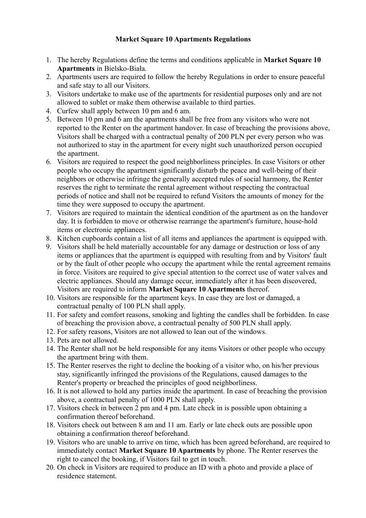## **Market Square 10 Apartments Regulations**

- 1. The hereby Regulations define the terms and conditions applicable in **Market Square 10 Apartments** in Bielsko-Biała.
- 2. Apartments users are required to follow the hereby Regulations in order to ensure peaceful and safe stay to all our Visitors.
- 3. Visitors undertake to make use of the apartments for residential purposes only and are not allowed to sublet or make them otherwise available to third parties.
- 4. Curfew shall apply between 10 pm and 6 am.
- 5. Between 10 pm and 6 am the apartments shall be free from any visitors who were not reported to the Renter on the apartment handover. In case of breaching the provisions above, Visitors shall be charged with a contractual penalty of 200 PLN per every person who was not authorized to stay in the apartment for every night such unauthorized person occupied the apartment.
- 6. Visitors are required to respect the good neighborliness principles. In case Visitors or other people who occupy the apartment significantly disturb the peace and well-being of their neighbors or otherwise infringe the generally accepted rules of social harmony, the Renter reserves the right to terminate the rental agreement without respecting the contractual periods of notice and shall not be required to refund Visitors the amounts of money for the time they were supposed to occupy the apartment.
- 7. Visitors are required to maintain the identical condition of the apartment as on the handover day. It is forbidden to move or otherwise rearrange the apartment's furniture, house-hold items or electronic appliances.
- 8. Kitchen cupboards contain a list of all items and appliances the apartment is equipped with.
- 9. Visitors shall be held materially accountable for any damage or destruction or loss of any items or appliances that the apartment is equipped with resulting from and by Visitors' fault or by the fault of other people who occupy the apartment while the rental agreement remains in force. Visitors are required to give special attention to the correct use of water valves and electric appliances. Should any damage occur, immediately after it has been discovered, Visitors are required to inform **Market Square 10 Apartments** thereof.
- 10. Visitors are responsible for the apartment keys. In case they are lost or damaged, a contractual penalty of 100 PLN shall apply.
- 11. For safety and comfort reasons, smoking and lighting the candles shall be forbidden. In case of breaching the provision above, a contractual penalty of 500 PLN shall apply.
- 12. For safety reasons, Visitors are not allowed to lean out of the windows.
- 13. Pets are not allowed.
- 14. The Renter shall not be held responsible for any items Visitors or other people who occupy the apartment bring with them.
- 15. The Renter reserves the right to decline the booking of a visitor who, on his/her previous stay, significantly infringed the provisions of the Regulations, caused damages to the Renter's property or breached the principles of good neighborliness.
- 16. It is not allowed to hold any parties inside the apartment. In case of breaching the provision above, a contractual penalty of 1000 PLN shall apply.
- 17. Visitors check in between 2 pm and 4 pm. Late check in is possible upon obtaining a confirmation thereof beforehand.
- 18. Visitors check out between 8 am and 11 am. Early or late check outs are possible upon obtaining a confirmation thereof beforehand.
- 19. Visitors who are unable to arrive on time, which has been agreed beforehand, are required to immediately contact **Market Square 10 Apartments** by phone. The Renter reserves the right to cancel the booking, if Visitors fail to get in touch.
- 20. On check in Visitors are required to produce an ID with a photo and provide a place of residence statement.